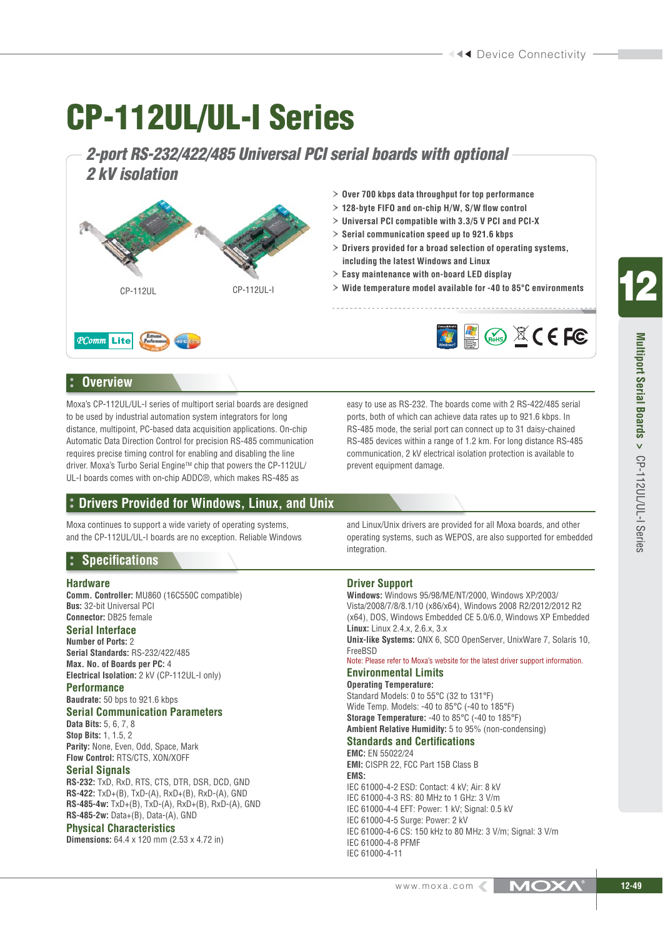# **CP-112UL/UL-I Series**

*2-port RS-232/422/485 Universal PCI serial boards with optional 2 kV isolation*



# **Overview**

Moxa's CP-112UL/UL-I series of multiport serial boards are designed to be used by industrial automation system integrators for long distance, multipoint, PC-based data acquisition applications. On-chip Automatic Data Direction Control for precision RS-485 communication requires precise timing control for enabling and disabling the line driver. Moxa's Turbo Serial EngineTM chip that powers the CP-112UL/ UL-I boards comes with on-chip ADDC®, which makes RS-485 as

# **Drivers Provided for Windows, Linux, and Unix**

Moxa continues to support a wide variety of operating systems, and the CP-112UL/UL-I boards are no exception. Reliable Windows

# **Specifications**

#### **Hardware**

**Comm. Controller:** MU860 (16C550C compatible) **Bus:** 32-bit Universal PCI **Connector:** DB25 female

## **Serial Interface**

**Number of Ports:** 2 **Serial Standards:** RS-232/422/485 **Max. No. of Boards per PC:** 4 **Electrical Isolation:** 2 kV (CP-112UL-I only)

### **Performance**

**Baudrate:** 50 bps to 921.6 kbps

**Serial Communication Parameters Data Bits:** 5, 6, 7, 8

**Stop Bits:** 1, 1.5, 2 **Parity:** None, Even, Odd, Space, Mark **Flow Control:** RTS/CTS, XON/XOFF

### **Serial Signals**

**RS-232:** TxD, RxD, RTS, CTS, DTR, DSR, DCD, GND **RS-422:** TxD+(B), TxD-(A), RxD+(B), RxD-(A), GND **RS-485-4w:** TxD+(B), TxD-(A), RxD+(B), RxD-(A), GND **RS-485-2w:** Data+(B), Data-(A), GND

#### **Physical Characteristics**

**Dimensions:** 64.4 x 120 mm (2.53 x 4.72 in)

easy to use as RS-232. The boards come with 2 RS-422/485 serial ports, both of which can achieve data rates up to 921.6 kbps. In RS-485 mode, the serial port can connect up to 31 daisy-chained RS-485 devices within a range of 1.2 km. For long distance RS-485 communication, 2 kV electrical isolation protection is available to prevent equipment damage.

and Linux/Unix drivers are provided for all Moxa boards, and other operating systems, such as WEPOS, are also supported for embedded integration.

### **Driver Support**

IEC 61000-4-11

**Windows:** Windows 95/98/ME/NT/2000, Windows XP/2003/ Vista/2008/7/8/8.1/10 (x86/x64), Windows 2008 R2/2012/2012 R2 (x64), DOS, Windows Embedded CE 5.0/6.0, Windows XP Embedded **Linux:** Linux 2.4.x, 2.6.x, 3.x **Unix-like Systems:** QNX 6, SCO OpenServer, UnixWare 7, Solaris 10, FreeBSD Note: Please refer to Moxa's website for the latest driver support information. **Environmental Limits Operating Temperature:** Standard Models: 0 to 55°C (32 to 131°F) Wide Temp. Models: -40 to 85°C (-40 to 185°F) **Storage Temperature:** -40 to 85°C (-40 to 185°F) **Ambient Relative Humidity:** 5 to 95% (non-condensing) **Standards and Certifications EMC:** EN 55022/24 **EMI:** CISPR 22, FCC Part 15B Class B **EMS:** IEC 61000-4-2 ESD: Contact: 4 kV; Air: 8 kV IEC 61000-4-3 RS: 80 MHz to 1 GHz: 3 V/m IEC 61000-4-4 EFT: Power: 1 kV; Signal: 0.5 kV IEC 61000-4-5 Surge: Power: 2 kV IEC 61000-4-6 CS: 150 kHz to 80 MHz: 3 V/m; Signal: 3 V/m IEC 61000-4-8 PFMF

**12**